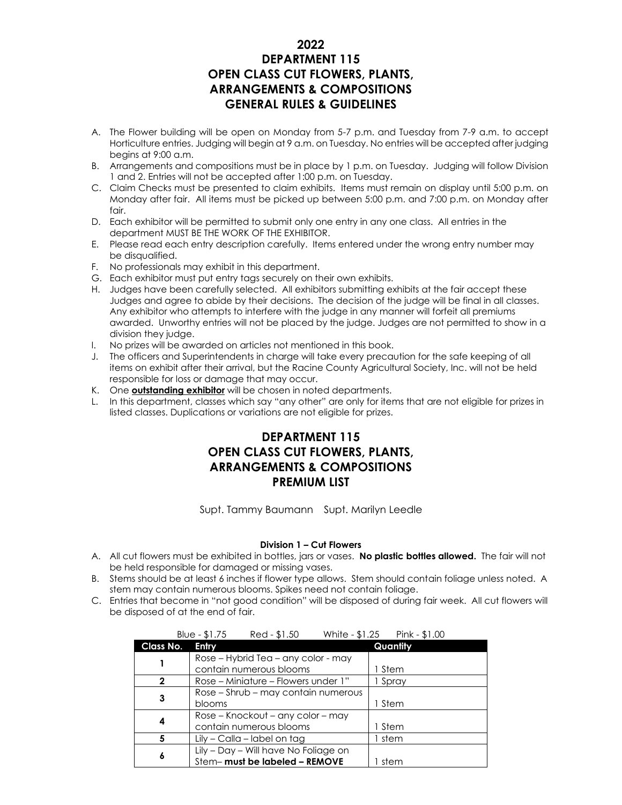### **2022 DEPARTMENT 115 OPEN CLASS CUT FLOWERS, PLANTS, ARRANGEMENTS & COMPOSITIONS GENERAL RULES & GUIDELINES**

- A. The Flower building will be open on Monday from 5-7 p.m. and Tuesday from 7-9 a.m. to accept Horticulture entries. Judging will begin at 9 a.m. on Tuesday. No entries will be accepted after judging begins at 9:00 a.m.
- B. Arrangements and compositions must be in place by 1 p.m. on Tuesday. Judging will follow Division 1 and 2. Entries will not be accepted after 1:00 p.m. on Tuesday.
- C. Claim Checks must be presented to claim exhibits. Items must remain on display until 5:00 p.m. on Monday after fair. All items must be picked up between 5:00 p.m. and 7:00 p.m. on Monday after fair.
- D. Each exhibitor will be permitted to submit only one entry in any one class. All entries in the department MUST BE THE WORK OF THE EXHIBITOR.
- E. Please read each entry description carefully. Items entered under the wrong entry number may be disqualified.
- F. No professionals may exhibit in this department.
- G. Each exhibitor must put entry tags securely on their own exhibits.
- H. Judges have been carefully selected. All exhibitors submitting exhibits at the fair accept these Judges and agree to abide by their decisions. The decision of the judge will be final in all classes. Any exhibitor who attempts to interfere with the judge in any manner will forfeit all premiums awarded. Unworthy entries will not be placed by the judge. Judges are not permitted to show in a division they judge.
- I. No prizes will be awarded on articles not mentioned in this book.
- J. The officers and Superintendents in charge will take every precaution for the safe keeping of all items on exhibit after their arrival, but the Racine County Agricultural Society, Inc. will not be held responsible for loss or damage that may occur.
- K. One **outstanding exhibitor** will be chosen in noted departments.
- L. In this department, classes which say "any other" are only for items that are not eligible for prizes in listed classes. Duplications or variations are not eligible for prizes.

## **DEPARTMENT 115 OPEN CLASS CUT FLOWERS, PLANTS, ARRANGEMENTS & COMPOSITIONS PREMIUM LIST**

Supt. Tammy Baumann Supt. Marilyn Leedle

#### **Division 1 – Cut Flowers**

- A. All cut flowers must be exhibited in bottles, jars or vases. **No plastic bottles allowed.** The fair will not be held responsible for damaged or missing vases.
- B. Stems should be at least 6 inches if flower type allows. Stem should contain foliage unless noted. A stem may contain numerous blooms. Spikes need not contain foliage.
- C. Entries that become in "not good condition" will be disposed of during fair week. All cut flowers will be disposed of at the end of fair.

|           | Red - \$1.50<br>White $- $1.25$ Pink $- $1.00$<br>Blue - $$1.75$       |          |
|-----------|------------------------------------------------------------------------|----------|
| Class No. | Entry                                                                  | Quantity |
|           | Rose - Hybrid Tea - any color - may<br>contain numerous blooms         | 1 Stem   |
| 2         | Rose – Miniature – Flowers under 1"                                    | 1 Spray  |
| 3         | Rose – Shrub – may contain numerous<br>blooms                          | 1 Stem   |
| 4         | Rose – Knockout – any color – may<br>contain numerous blooms           | 1 Stem   |
| 5         | Lily - Calla - label on tag                                            | 1 stem   |
| 6         | Lily - Day - Will have No Foliage on<br>Stem- must be labeled - REMOVE | stem     |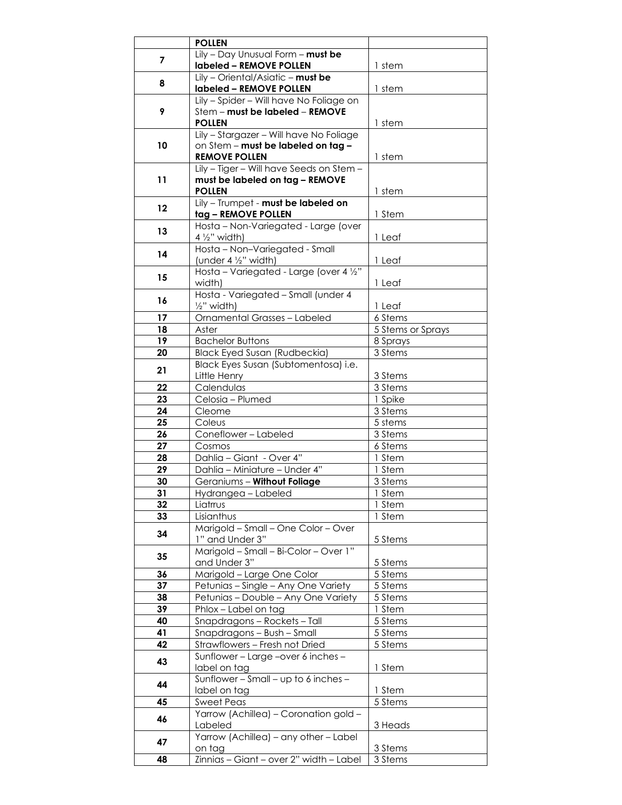|          | <b>POLLEN</b>                            |                    |
|----------|------------------------------------------|--------------------|
|          | Lily - Day Unusual Form - must be        |                    |
| 7        | labeled - REMOVE POLLEN                  | 1 stem             |
|          | $Lily$ - Oriental/Asiatic - must be      |                    |
| 8        | labeled - REMOVE POLLEN                  | 1 stem             |
|          | Lily - Spider - Will have No Foliage on  |                    |
| 9        | Stem - must be labeled - REMOVE          |                    |
|          | <b>POLLEN</b>                            | 1 stem             |
|          | Lily - Stargazer - Will have No Foliage  |                    |
| 10       | on Stem - must be labeled on tag -       |                    |
|          | <b>REMOVE POLLEN</b>                     | 1 stem             |
|          | Lily - Tiger - Will have Seeds on Stem - |                    |
| 11       | must be labeled on tag - REMOVE          |                    |
|          | <b>POLLEN</b>                            | 1 stem             |
|          | Lily - Trumpet - must be labeled on      |                    |
| 12       | tag - REMOVE POLLEN                      | 1 Stem             |
|          | Hosta - Non-Variegated - Large (over     |                    |
| 13       | $4\frac{1}{2}$ " width)                  | 1 Leaf             |
|          | Hosta - Non-Variegated - Small           |                    |
| 14       | (under 4 1/2" width)                     | 1 Leaf             |
|          | Hosta - Variegated - Large (over 4 1/2"  |                    |
| 15       | width)                                   | 1 Leaf             |
|          | Hosta - Variegated - Small (under 4      |                    |
| 16       | 1/ <sub>2</sub> " width)                 | 1 Leaf             |
| 17       | Ornamental Grasses - Labeled             | 6 Stems            |
| 18       | Aster                                    | 5 Stems or Sprays  |
| 19       | <b>Bachelor Buttons</b>                  | 8 Sprays           |
| 20       | <b>Black Eyed Susan (Rudbeckia)</b>      | 3 Stems            |
|          | Black Eyes Susan (Subtomentosa) i.e.     |                    |
| 21       | Little Henry                             | 3 Stems            |
| 22       | Calendulas                               | 3 Stems            |
| 23       | Celosia - Plumed                         | 1 Spike            |
| 24       | Cleome                                   | 3 Stems            |
| 25       | Coleus                                   | 5 stems            |
| 26       | Coneflower - Labeled                     | 3 Stems            |
| 27       | Cosmos                                   | 6 Stems            |
| 28       | Dahlia - Giant - Over 4"                 | 1 Stem             |
| 29       | Dahlia - Miniature - Under 4"            | 1 Stem             |
| 30       | Geraniums - Without Foliage              | 3 Stems            |
| 31       | Hydrangea - Labeled                      | 1 Stem             |
| 32       | Liatrrus                                 | 1 Stem             |
| 33       | Lisianthus                               | 1 Stem             |
|          | Marigold - Small - One Color - Over      |                    |
| 34       | 1" and Under 3"                          |                    |
|          | Marigold - Small - Bi-Color - Over 1"    | 5 Stems            |
| 35       | and Under 3"                             |                    |
|          |                                          | 5 Stems<br>5 Stems |
| 36       | Marigold - Large One Color               |                    |
| 37       | Petunias - Single - Any One Variety      | 5 Stems            |
| 38<br>39 | Petunias - Double - Any One Variety      | 5 Stems            |
|          | Phlox-Label on tag                       | 1 Stem             |
| 40       | Snapdragons - Rockets - Tall             | 5 Stems            |
| 41       | Snapdragons - Bush - Small               | 5 Stems            |
| 42       | Strawflowers - Fresh not Dried           | 5 Stems            |
| 43       | Sunflower - Large -over 6 inches -       |                    |
|          | label on tag                             | 1 Stem             |
| 44       | Sunflower - Small - up to 6 inches -     |                    |
|          | label on tag                             | 1 Stem             |
| 45       | <b>Sweet Peas</b>                        | 5 Stems            |
| 46       | Yarrow (Achillea) - Coronation gold -    |                    |
|          | Labeled                                  | 3 Heads            |
| 47       | Yarrow (Achillea) - any other - Label    |                    |
|          | on tag                                   | 3 Stems            |
| 48       | Zinnias - Giant - over 2" width - Label  | 3 Stems            |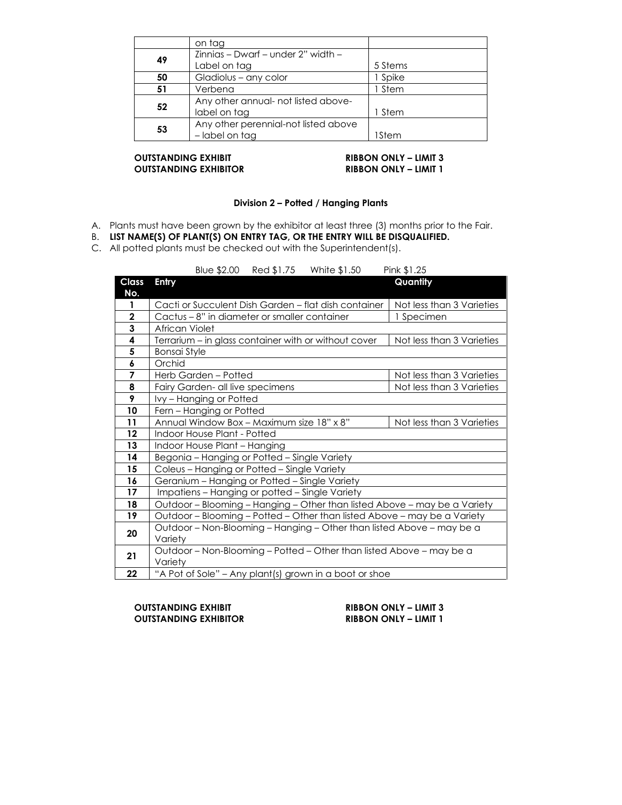|    | on tag                               |         |
|----|--------------------------------------|---------|
| 49 | Zinnias - Dwarf - under 2" width -   |         |
|    | Label on tag                         | 5 Stems |
| 50 | Gladiolus - any color                | 1 Spike |
| 51 | Verbena                              | 1 Stem  |
| 52 | Any other annual- not listed above-  |         |
|    | label on tag                         | 1 Stem  |
| 53 | Any other perennial-not listed above |         |
|    | - label on tag                       | 1Stem   |

### **OUTSTANDING EXHIBIT RIBBON ONLY – LIMIT 3 OUTSTANDING EXHIBITOR RIBBON ONLY – LIMIT 1**

#### **Division 2 – Potted / Hanging Plants**

- A. Plants must have been grown by the exhibitor at least three (3) months prior to the Fair.
- B. **LIST NAME(S) OF PLANT(S) ON ENTRY TAG, OR THE ENTRY WILL BE DISQUALIFIED.**
- C. All potted plants must be checked out with the Superintendent(s).

Blue \$2.00 Red \$1.75 White \$1.50 Pink \$1.25

| <b>Class</b><br>No. | <b>Entry</b>                                                              | Quantity                  |  |
|---------------------|---------------------------------------------------------------------------|---------------------------|--|
| 1                   | Cacti or Succulent Dish Garden – flat dish container                      | Not less than 3 Varieties |  |
| $\mathbf 2$         | Cactus - 8" in diameter or smaller container                              | 1 Specimen                |  |
| 3                   | African Violet                                                            |                           |  |
| 4                   | Terrarium - in glass container with or without cover                      | Not less than 3 Varieties |  |
| 5                   | <b>Bonsai Style</b>                                                       |                           |  |
| 6                   | Orchid                                                                    |                           |  |
| $\overline{7}$      | Herb Garden - Potted                                                      | Not less than 3 Varieties |  |
| 8                   | Fairy Garden- all live specimens                                          | Not less than 3 Varieties |  |
| 9                   | Ivy - Hanging or Potted                                                   |                           |  |
| 10                  | Fern - Hanging or Potted                                                  |                           |  |
| 11                  | Annual Window Box - Maximum size 18" x 8"                                 | Not less than 3 Varieties |  |
| 12                  | Indoor House Plant - Potted                                               |                           |  |
| 13                  | Indoor House Plant - Hanging                                              |                           |  |
| 14                  | Begonia - Hanging or Potted - Single Variety                              |                           |  |
| 15                  | Coleus - Hanging or Potted - Single Variety                               |                           |  |
| 16                  | Geranium - Hanging or Potted - Single Variety                             |                           |  |
| 17                  | Impatiens - Hanging or potted - Single Variety                            |                           |  |
| 18                  | Outdoor - Blooming - Hanging - Other than listed Above - may be a Variety |                           |  |
| 19                  | Outdoor - Blooming - Potted - Other than listed Above - may be a Variety  |                           |  |
| 20                  | Outdoor - Non-Blooming - Hanging - Other than listed Above - may be a     |                           |  |
|                     | Variety                                                                   |                           |  |
| 21                  | Outdoor - Non-Blooming - Potted - Other than listed Above - may be a      |                           |  |
|                     | Variety                                                                   |                           |  |
| 22                  | "A Pot of Sole" - Any plant(s) grown in a boot or shoe                    |                           |  |

**OUTSTANDING EXHIBIT RIBBON ONLY – LIMIT 3**  $\overline{O}$  **UTSTANDING EXHIBITOR**